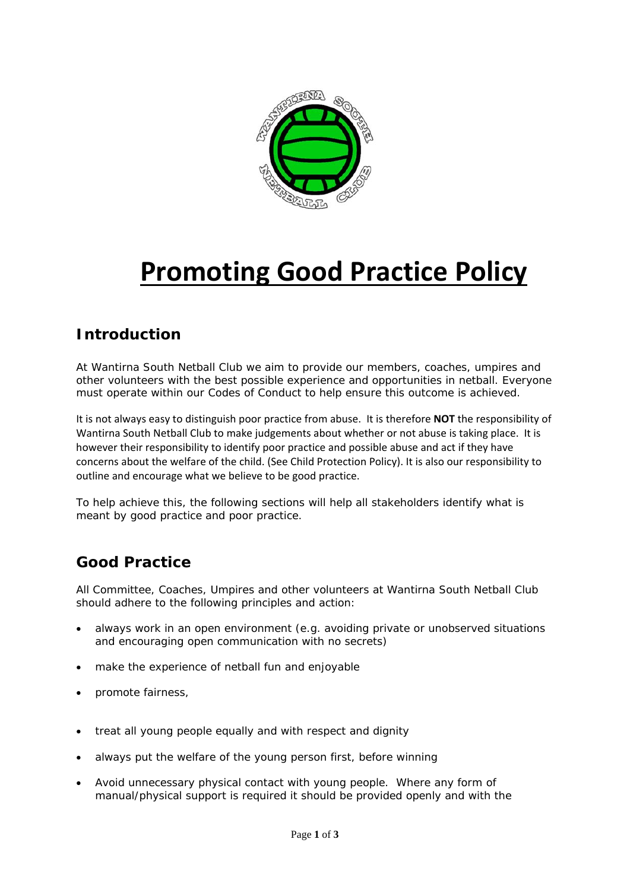

# **Promoting Good Practice Policy**

### **Introduction**

At Wantirna South Netball Club we aim to provide our members, coaches, umpires and other volunteers with the best possible experience and opportunities in netball. Everyone must operate within our Codes of Conduct to help ensure this outcome is achieved.

It is not always easy to distinguish poor practice from abuse. It is therefore **NOT** the responsibility of Wantirna South Netball Club to make judgements about whether or not abuse is taking place. It is however their responsibility to identify poor practice and possible abuse and act if they have concerns about the welfare of the child. (See Child Protection Policy). It is also our responsibility to outline and encourage what we believe to be good practice.

To help achieve this, the following sections will help all stakeholders identify what is meant by good practice and poor practice.

#### **Good Practice**

All Committee, Coaches, Umpires and other volunteers at Wantirna South Netball Club should adhere to the following principles and action:

- always work in an open environment (e.g. avoiding private or unobserved situations and encouraging open communication with no secrets)
- make the experience of netball fun and enjoyable
- promote fairness,
- treat all young people equally and with respect and dignity
- always put the welfare of the young person first, before winning
- Avoid unnecessary physical contact with young people. Where any form of manual/physical support is required it should be provided openly and with the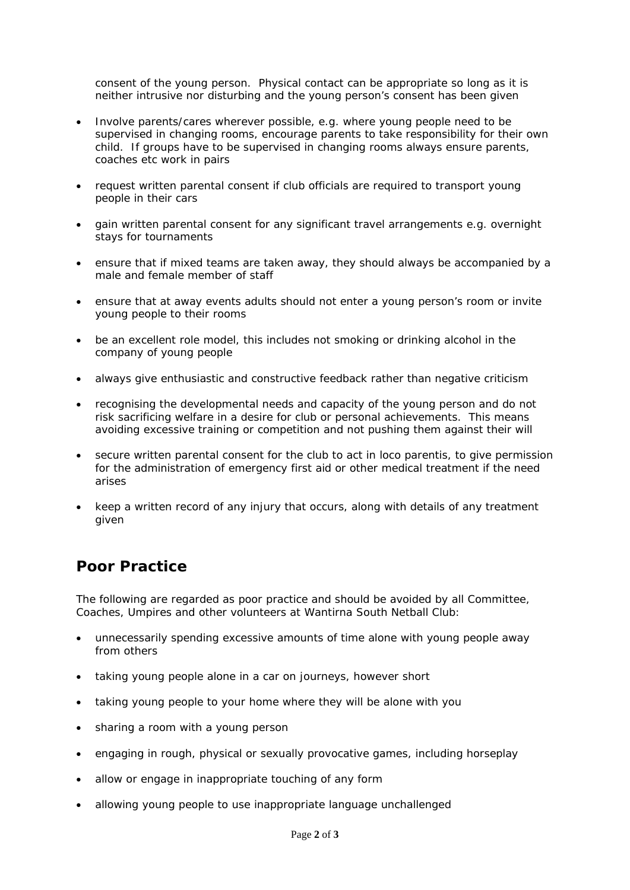consent of the young person. Physical contact can be appropriate so long as it is neither intrusive nor disturbing and the young person's consent has been given

- Involve parents/cares wherever possible, e.g. where young people need to be supervised in changing rooms, encourage parents to take responsibility for their own child. If groups have to be supervised in changing rooms always ensure parents, coaches etc work in pairs
- request written parental consent if club officials are required to transport young people in their cars
- gain written parental consent for any significant travel arrangements e.g. overnight stays for tournaments
- ensure that if mixed teams are taken away, they should always be accompanied by a male and female member of staff
- ensure that at away events adults should not enter a young person's room or invite young people to their rooms
- be an excellent role model, this includes not smoking or drinking alcohol in the company of young people
- always give enthusiastic and constructive feedback rather than negative criticism
- recognising the developmental needs and capacity of the young person and do not risk sacrificing welfare in a desire for club or personal achievements. This means avoiding excessive training or competition and not pushing them against their will
- secure written parental consent for the club to act in loco parentis, to give permission for the administration of emergency first aid or other medical treatment if the need arises
- keep a written record of any injury that occurs, along with details of any treatment given

#### **Poor Practice**

The following are regarded as poor practice and should be avoided by all Committee, Coaches, Umpires and other volunteers at Wantirna South Netball Club:

- unnecessarily spending excessive amounts of time alone with young people away from others
- taking young people alone in a car on journeys, however short
- taking young people to your home where they will be alone with you
- sharing a room with a young person
- engaging in rough, physical or sexually provocative games, including horseplay
- allow or engage in inappropriate touching of any form
- allowing young people to use inappropriate language unchallenged